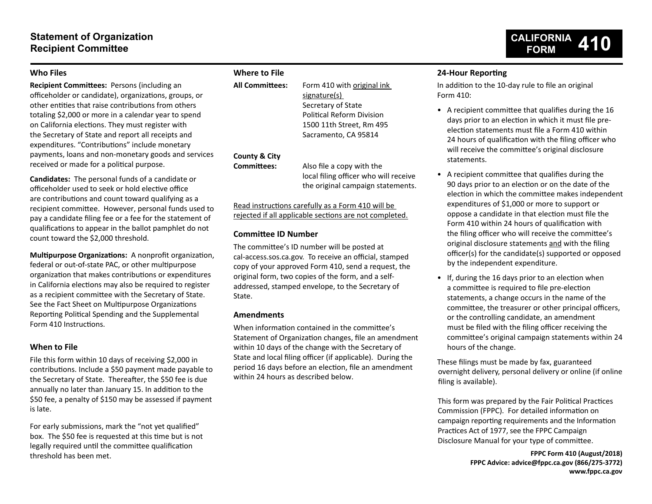# **Statement of Organization Recipient Committee**

## **Who Files**

**Recipient Committees:** Persons (including an officeholder or candidate), organizations, groups, or other entities that raise contributions from others totaling \$2,000 or more in a calendar year to spend on California elections. They must register with the Secretary of State and report all receipts and expenditures. "Contributions" include monetary payments, loans and non-monetary goods and services received or made for a political purpose.

**Candidates:** The personal funds of a candidate or officeholder used to seek or hold elective office are contributions and count toward qualifying as a recipient committee. However, personal funds used to pay a candidate filing fee or a fee for the statement of qualifications to appear in the ballot pamphlet do not count toward the \$2,000 threshold.

**Multipurpose Organizations:** A nonprofit organization, federal or out-of-state PAC, or other multipurpose organization that makes contributions or expenditures in California elections may also be required to register as a recipient committee with the Secretary of State. See the Fact Sheet on Multipurpose Organizations Reporting Political Spending and the Supplemental Form 410 Instructions.

## **When to File**

File this form within 10 days of receiving \$2,000 in contributions. Include a \$50 payment made payable to the Secretary of State. Thereafter, the \$50 fee is due annually no later than January 15. In addition to the \$50 fee, a penalty of \$150 may be assessed if payment is late.

For early submissions, mark the "not yet qualified" box. The \$50 fee is requested at this time but is not legally required until the committee qualification threshold has been met.

## **Where to File**

| <b>All Committees:</b>              | Form 410 with original ink<br>signature(s)<br>Secretary of State<br><b>Political Reform Division</b><br>1500 11th Street, Rm 495 |
|-------------------------------------|----------------------------------------------------------------------------------------------------------------------------------|
| County & City<br><b>Committees:</b> | Sacramento, CA 95814<br>Also file a copy with the<br>local filing officer who will receive<br>the original campaign statements.  |

Read instructions carefully as a Form 410 will be rejected if all applicable sections are not completed.

## **Committee ID Number**

The committee's ID number will be posted at cal-access.sos.ca.gov. To receive an official, stamped copy of your approved Form 410, send a request, the original form, two copies of the form, and a selfaddressed, stamped envelope, to the Secretary of State.

## **Amendments**

When information contained in the committee's Statement of Organization changes, file an amendment within 10 days of the change with the Secretary of State and local filing officer (if applicable). During the period 16 days before an election, file an amendment within 24 hours as described below.

## **24-Hour Reporting**

In addition to the 10-day rule to file an original Form 410:

- A recipient committee that qualifies during the 16 days prior to an election in which it must file preelection statements must file a Form 410 within 24 hours of qualification with the filing officer who will receive the committee's original disclosure statements.
- A recipient committee that qualifies during the 90 days prior to an election or on the date of the election in which the committee makes independent expenditures of \$1,000 or more to support or oppose a candidate in that election must file the Form 410 within 24 hours of qualification with the filing officer who will receive the committee's original disclosure statements and with the filing officer(s) for the candidate(s) supported or opposed by the independent expenditure.
- If, during the 16 days prior to an election when a committee is required to file pre-election statements, a change occurs in the name of the committee, the treasurer or other principal officers, or the controlling candidate, an amendment must be filed with the filing officer receiving the committee's original campaign statements within 24 hours of the change.

These filings must be made by fax, guaranteed overnight delivery, personal delivery or online (if online filing is available).

This form was prepared by the Fair Political Practices Commission (FPPC). For detailed information on campaign reporting requirements and the Information Practices Act of 1977, see the FPPC Campaign Disclosure Manual for your type of committee.

> **FPPC Form 410 (August/2018) FPPC Advice: advice@fppc.ca.gov (866/275-3772) www.fppc.ca.gov**

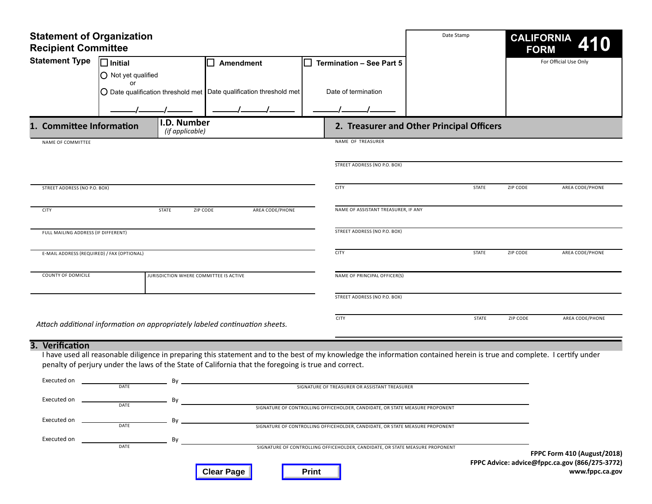| <b>Statement of Organization</b><br><b>Recipient Committee</b> |                                                                                                      |                                                                              | Date Stamp                                                                                                                                                              | <b>CALIFORNIA</b><br><b>FORM</b>          |                                                                               |
|----------------------------------------------------------------|------------------------------------------------------------------------------------------------------|------------------------------------------------------------------------------|-------------------------------------------------------------------------------------------------------------------------------------------------------------------------|-------------------------------------------|-------------------------------------------------------------------------------|
| <b>Statement Type</b>                                          | $\square$ Initial                                                                                    | <b>Amendment</b>                                                             | Termination - See Part 5<br>ΙI                                                                                                                                          |                                           | For Official Use Only                                                         |
|                                                                | O Not yet qualified                                                                                  |                                                                              |                                                                                                                                                                         |                                           |                                                                               |
|                                                                | or                                                                                                   |                                                                              |                                                                                                                                                                         |                                           |                                                                               |
|                                                                |                                                                                                      | $\bigcirc$ Date qualification threshold met Date qualification threshold met | Date of termination                                                                                                                                                     |                                           |                                                                               |
|                                                                |                                                                                                      |                                                                              |                                                                                                                                                                         |                                           |                                                                               |
| 1. Committee Information                                       | I.D. Number<br>(if applicable)                                                                       |                                                                              |                                                                                                                                                                         | 2. Treasurer and Other Principal Officers |                                                                               |
| NAME OF COMMITTEE                                              |                                                                                                      |                                                                              | NAME OF TREASURER                                                                                                                                                       |                                           |                                                                               |
|                                                                |                                                                                                      |                                                                              |                                                                                                                                                                         |                                           |                                                                               |
|                                                                |                                                                                                      |                                                                              | STREET ADDRESS (NO P.O. BOX)                                                                                                                                            |                                           |                                                                               |
| STREET ADDRESS (NO P.O. BOX)                                   |                                                                                                      |                                                                              | <b>CITY</b>                                                                                                                                                             | <b>STATE</b>                              | ZIP CODE<br>AREA CODE/PHONE                                                   |
|                                                                |                                                                                                      |                                                                              |                                                                                                                                                                         |                                           |                                                                               |
| <b>CITY</b>                                                    | <b>STATE</b>                                                                                         | AREA CODE/PHONE<br>ZIP CODE                                                  | NAME OF ASSISTANT TREASURER, IF ANY                                                                                                                                     |                                           |                                                                               |
| FULL MAILING ADDRESS (IF DIFFERENT)                            |                                                                                                      |                                                                              | STREET ADDRESS (NO P.O. BOX)                                                                                                                                            |                                           |                                                                               |
|                                                                |                                                                                                      |                                                                              |                                                                                                                                                                         |                                           |                                                                               |
| E-MAIL ADDRESS (REQUIRED) / FAX (OPTIONAL)                     |                                                                                                      |                                                                              | <b>CITY</b>                                                                                                                                                             | <b>STATE</b>                              | ZIP CODE<br>AREA CODE/PHONE                                                   |
|                                                                |                                                                                                      |                                                                              |                                                                                                                                                                         |                                           |                                                                               |
| COUNTY OF DOMICILE                                             | JURISDICTION WHERE COMMITTEE IS ACTIVE                                                               |                                                                              | NAME OF PRINCIPAL OFFICER(S)                                                                                                                                            |                                           |                                                                               |
|                                                                |                                                                                                      |                                                                              | STREET ADDRESS (NO P.O. BOX)                                                                                                                                            |                                           |                                                                               |
|                                                                |                                                                                                      |                                                                              |                                                                                                                                                                         |                                           |                                                                               |
|                                                                | Attach additional information on appropriately labeled continuation sheets.                          |                                                                              | <b>CITY</b>                                                                                                                                                             | <b>STATE</b>                              | <b>ZIP CODE</b><br>AREA CODE/PHONE                                            |
|                                                                |                                                                                                      |                                                                              |                                                                                                                                                                         |                                           |                                                                               |
| 3. Verification                                                |                                                                                                      |                                                                              |                                                                                                                                                                         |                                           |                                                                               |
|                                                                |                                                                                                      |                                                                              | I have used all reasonable diligence in preparing this statement and to the best of my knowledge the information contained herein is true and complete. I certify under |                                           |                                                                               |
|                                                                | penalty of perjury under the laws of the State of California that the foregoing is true and correct. |                                                                              |                                                                                                                                                                         |                                           |                                                                               |
| Executed on                                                    | Bv<br>DATE                                                                                           |                                                                              | SIGNATURE OF TREASURER OR ASSISTANT TREASURER                                                                                                                           |                                           |                                                                               |
| Executed on                                                    |                                                                                                      |                                                                              |                                                                                                                                                                         |                                           |                                                                               |
|                                                                | DATE                                                                                                 |                                                                              | SIGNATURE OF CONTROLLING OFFICEHOLDER, CANDIDATE, OR STATE MEASURE PROPONENT                                                                                            |                                           |                                                                               |
| Executed on                                                    | Bv<br>DATE                                                                                           |                                                                              | SIGNATURE OF CONTROLLING OFFICEHOLDER, CANDIDATE, OR STATE MEASURE PROPONENT                                                                                            |                                           |                                                                               |
| Executed on                                                    | By                                                                                                   |                                                                              |                                                                                                                                                                         |                                           |                                                                               |
|                                                                | DATE                                                                                                 |                                                                              | SIGNATURE OF CONTROLLING OFFICEHOLDER, CANDIDATE, OR STATE MEASURE PROPONENT                                                                                            |                                           |                                                                               |
|                                                                |                                                                                                      |                                                                              |                                                                                                                                                                         |                                           | FPPC Form 410 (August/2018)<br>FPPC Advice: advice@fppc.ca.gov (866/275-3772) |
|                                                                |                                                                                                      | <b>Clear Page</b>                                                            | <b>Print</b>                                                                                                                                                            |                                           | www.fppc.ca.gov                                                               |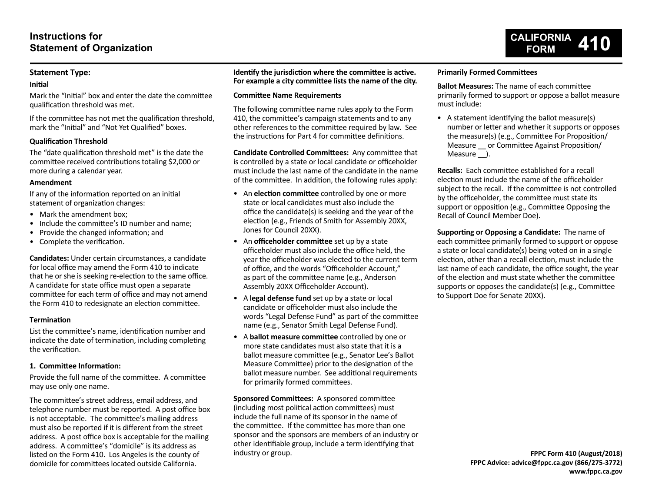## **Statement Type:**

### **Initial**

Mark the "Initial" box and enter the date the committee qualification threshold was met.

If the committee has not met the qualification threshold, mark the "Initial" and "Not Yet Qualified" boxes.

## **Qualification Threshold**

The "date qualification threshold met" is the date the committee received contributions totaling \$2,000 or more during a calendar year.

## **Amendment**

If any of the information reported on an initial statement of organization changes:

- Mark the amendment box:
- Include the committee's ID number and name;
- Provide the changed information; and
- Complete the verification.

**Candidates:** Under certain circumstances, a candidate for local office may amend the Form 410 to indicate that he or she is seeking re-election to the same office. A candidate for state office must open a separate committee for each term of office and may not amend the Form 410 to redesignate an election committee.

## **Termination**

List the committee's name, identification number and indicate the date of termination, including completing the verification.

## **1. Committee Information:**

Provide the full name of the committee. A committee may use only one name.

The committee's street address, email address, and telephone number must be reported. A post office box is not acceptable. The committee's mailing address must also be reported if it is different from the street address. A post office box is acceptable for the mailing address. A committee's "domicile" is its address as listed on the Form 410. Los Angeles is the county of domicile for committees located outside California.

**Identify the jurisdiction where the committee is active. For example a city committee lists the name of the city.**

## **Committee Name Requirements**

The following committee name rules apply to the Form 410, the committee's campaign statements and to any other references to the committee required by law. See the instructions for Part 4 for committee definitions.

**Candidate Controlled Committees:** Any committee that is controlled by a state or local candidate or officeholder must include the last name of the candidate in the name of the committee. In addition, the following rules apply:

- An **election committee** controlled by one or more state or local candidates must also include the office the candidate(s) is seeking and the year of the election (e.g., Friends of Smith for Assembly 20XX, Jones for Council 20XX).
- An **officeholder committee** set up by a state officeholder must also include the office held, the year the officeholder was elected to the current term of office, and the words "Officeholder Account," as part of the committee name (e.g., Anderson Assembly 20XX Officeholder Account).
- A **legal defense fund** set up by a state or local candidate or officeholder must also include the words "Legal Defense Fund" as part of the committee name (e.g., Senator Smith Legal Defense Fund).
- A **ballot measure committee** controlled by one or more state candidates must also state that it is a ballot measure committee (e.g., Senator Lee's Ballot Measure Committee) prior to the designation of the ballot measure number. See additional requirements for primarily formed committees.

**Sponsored Committees:** A sponsored committee (including most political action committees) must include the full name of its sponsor in the name of the committee. If the committee has more than one sponsor and the sponsors are members of an industry or other identifiable group, include a term identifying that industry or group.

## **Primarily Formed Committees**

**Ballot Measures:** The name of each committee primarily formed to support or oppose a ballot measure must include:

**CALIFORNIA FORM 410**

• A statement identifying the ballot measure(s) number or letter and whether it supports or opposes the measure(s) (e.g., Committee For Proposition/ Measure or Committee Against Proposition/ Measure ).

**Recalls:** Each committee established for a recall election must include the name of the officeholder subject to the recall. If the committee is not controlled by the officeholder, the committee must state its support or opposition (e.g., Committee Opposing the Recall of Council Member Doe).

**Supporting or Opposing a Candidate:** The name of each committee primarily formed to support or oppose a state or local candidate(s) being voted on in a single election, other than a recall election, must include the last name of each candidate, the office sought, the year of the election and must state whether the committee supports or opposes the candidate(s) (e.g., Committee to Support Doe for Senate 20XX).

> **FPPC Form 410 (August/2018) FPPC Advice: advice@fppc.ca.gov (866/275-3772) www.fppc.ca.gov**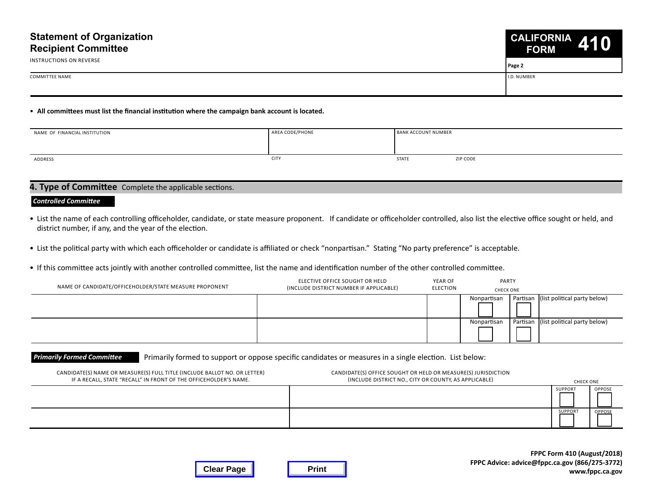

**Page 2**

COMMITTEE NAME I.D. NUMBER NAME I.D. NUMBER I.D. NUMBER I.D. NUMBER I.D. NUMBER I.D. NUMBER I.D. NUMBER I.D. NUMBER

Instructions on Reverse

## • **All committees must list the financial institution where the campaign bank account is located.**

| NAME OF FINANCIAL INSTITUTION | AREA CODE/PHONE | <b>BANK ACCOUNT NUMBER</b> |          |
|-------------------------------|-----------------|----------------------------|----------|
|                               |                 |                            |          |
| ADDRESS                       | <b>CITY</b>     | <b>STATE</b>               | ZIP CODE |

## **4. Type of Committee** Complete the applicable sections.

#### *Controlled Committee*

- List the name of each controlling officeholder, candidate, or state measure proponent. If candidate or officeholder controlled, also list the elective office sought or held, and district number, if any, and the year of the election.
- List the political party with which each officeholder or candidate is affiliated or check "nonpartisan." Stating "No party preference" is acceptable.
- If this committee acts jointly with another controlled committee, list the name and identification number of the other controlled committee.

| NAME OF CANDIDATE/OFFICEHOLDER/STATE MEASURE PROPONENT | ELECTIVE OFFICE SOUGHT OR HELD<br>(INCLUDE DISTRICT NUMBER IF APPLICABLE) | YEAR OF<br>ELECTION | PARTY<br>CHECK ONE                                   |
|--------------------------------------------------------|---------------------------------------------------------------------------|---------------------|------------------------------------------------------|
|                                                        |                                                                           |                     | Partisan (list political party below)<br>Nonpartisan |
|                                                        |                                                                           |                     | Partisan (list political party below)<br>Nonpartisan |

#### **Primarily Formed Committee** Primarily formed to support or oppose specific candidates or measures in a single election. List below:

| CANDIDATE(S) NAME OR MEASURE(S) FULL TITLE (INCLUDE BALLOT NO. OR LETTER)<br>IF A RECALL, STATE "RECALL" IN FRONT OF THE OFFICEHOLDER'S NAME. | CANDIDATE(S) OFFICE SOUGHT OR HELD OR MEASURE(S) JURISDICTION<br>(INCLUDE DISTRICT NO., CITY OR COUNTY, AS APPLICABLE) |                | CHECK ONE     |
|-----------------------------------------------------------------------------------------------------------------------------------------------|------------------------------------------------------------------------------------------------------------------------|----------------|---------------|
|                                                                                                                                               |                                                                                                                        | SUPPORT        | <b>OPPOSE</b> |
|                                                                                                                                               |                                                                                                                        | <b>SUPPORT</b> | OPPOSE        |

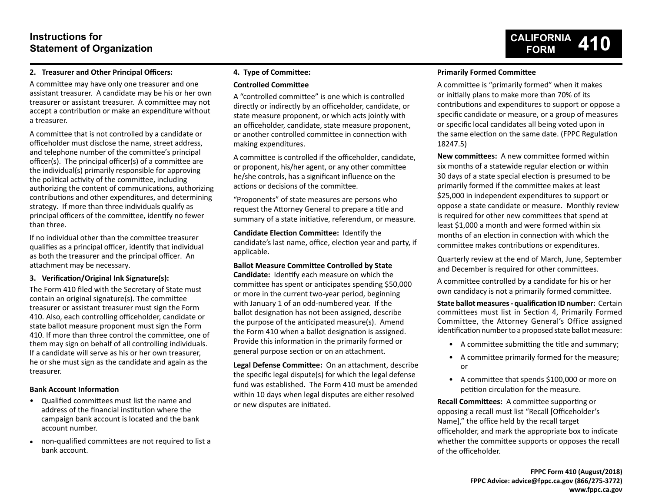# **Instructions for Statement of Organization**

## **2. Treasurer and Other Principal Officers:**

A committee may have only one treasurer and one assistant treasurer. A candidate may be his or her own treasurer or assistant treasurer. A committee may not accept a contribution or make an expenditure without a treasurer.

A committee that is not controlled by a candidate or officeholder must disclose the name, street address, and telephone number of the committee's principal officer(s). The principal officer(s) of a committee are the individual(s) primarily responsible for approving the political activity of the committee, including authorizing the content of communications, authorizing contributions and other expenditures, and determining strategy. If more than three individuals qualify as principal officers of the committee, identify no fewer than three.

If no individual other than the committee treasurer qualifies as a principal officer, identify that individual as both the treasurer and the principal officer. An attachment may be necessary.

## **3. Verification/Original Ink Signature(s):**

The Form 410 filed with the Secretary of State must contain an original signature(s). The committee treasurer or assistant treasurer must sign the Form 410. Also, each controlling officeholder, candidate or state ballot measure proponent must sign the Form 410. If more than three control the committee, one of them may sign on behalf of all controlling individuals. If a candidate will serve as his or her own treasurer, he or she must sign as the candidate and again as the treasurer.

## **Bank Account Information**

- Qualified committees must list the name and address of the financial institution where the campaign bank account is located and the bank account number.
- non-qualified committees are not required to list a bank account.

## **4. Type of Committee:**

## **Controlled Committee**

A "controlled committee" is one which is controlled directly or indirectly by an officeholder, candidate, or state measure proponent, or which acts jointly with an officeholder, candidate, state measure proponent, or another controlled committee in connection with making expenditures.

A committee is controlled if the officeholder, candidate, or proponent, his/her agent, or any other committee he/she controls, has a significant influence on the actions or decisions of the committee.

"Proponents" of state measures are persons who request the Attorney General to prepare a title and summary of a state initiative, referendum, or measure.

**Candidate Election Committee:** Identify the candidate's last name, office, election year and party, if applicable.

#### **Ballot Measure Committee Controlled by State**

**Candidate:** Identify each measure on which the committee has spent or anticipates spending \$50,000 or more in the current two-year period, beginning with January 1 of an odd-numbered year. If the ballot designation has not been assigned, describe the purpose of the anticipated measure(s). Amend the Form 410 when a ballot designation is assigned. Provide this information in the primarily formed or general purpose section or on an attachment.

**Legal Defense Committee:** On an attachment, describe the specific legal dispute(s) for which the legal defense fund was established. The Form 410 must be amended within 10 days when legal disputes are either resolved or new disputes are initiated.

## **Primarily Formed Committee**

A committee is "primarily formed" when it makes or initially plans to make more than 70% of its contributions and expenditures to support or oppose a specific candidate or measure, or a group of measures or specific local candidates all being voted upon in the same election on the same date. (FPPC Regulation 18247.5)

**CALIFORNIA FORM 410**

**New committees:** A new committee formed within six months of a statewide regular election or within 30 days of a state special election is presumed to be primarily formed if the committee makes at least \$25,000 in independent expenditures to support or oppose a state candidate or measure. Monthly review is required for other new committees that spend at least \$1,000 a month and were formed within six months of an election in connection with which the committee makes contributions or expenditures.

Quarterly review at the end of March, June, September and December is required for other committees.

A committee controlled by a candidate for his or her own candidacy is not a primarily formed committee.

**State ballot measures - qualification ID number:** Certain committees must list in Section 4, Primarily Formed Committee, the Attorney General's Office assigned identification number to a proposed state ballot measure:

- A committee submitting the title and summary;
- A committee primarily formed for the measure; or
- A committee that spends \$100,000 or more on petition circulation for the measure.

**Recall Committees:** A committee supporting or opposing a recall must list "Recall [Officeholder's Name]," the office held by the recall target officeholder, and mark the appropriate box to indicate whether the committee supports or opposes the recall of the officeholder.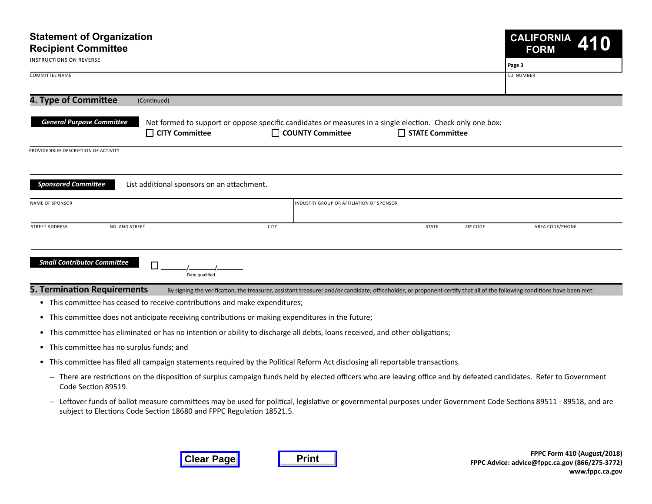| <b>Statement of Organization</b><br><b>Recipient Committee</b>              |                                                                                                                                                                          |                          | <b>CALIFORNIA</b><br>410<br><b>FORM</b> |  |
|-----------------------------------------------------------------------------|--------------------------------------------------------------------------------------------------------------------------------------------------------------------------|--------------------------|-----------------------------------------|--|
| <b>INSTRUCTIONS ON REVERSE</b>                                              |                                                                                                                                                                          |                          | Page 3                                  |  |
| <b>COMMITTEE NAME</b>                                                       |                                                                                                                                                                          |                          | <b>I.D. NUMBER</b>                      |  |
| 4. Type of Committee<br>(Continued)                                         |                                                                                                                                                                          |                          |                                         |  |
| <b>General Purpose Committee</b><br>$\Box$ CITY Committee                   | Not formed to support or oppose specific candidates or measures in a single election. Check only one box:<br>□ COUNTY Committee                                          | □ STATE Committee        |                                         |  |
| PROVIDE BRIEF DESCRIPTION OF ACTIVITY                                       |                                                                                                                                                                          |                          |                                         |  |
|                                                                             |                                                                                                                                                                          |                          |                                         |  |
| <b>Sponsored Committee</b><br>List additional sponsors on an attachment.    |                                                                                                                                                                          |                          |                                         |  |
| <b>NAME OF SPONSOR</b>                                                      | INDUSTRY GROUP OR AFFILIATION OF SPONSOR                                                                                                                                 |                          |                                         |  |
| <b>STREET ADDRESS</b><br>NO. AND STREET                                     | <b>CITY</b>                                                                                                                                                              | <b>STATE</b><br>ZIP CODE | AREA CODE/PHONE                         |  |
| <b>Small Contributor Committee</b><br>Г<br>Date qualified                   |                                                                                                                                                                          |                          |                                         |  |
| <b>5. Termination Requirements</b>                                          | By signing the verification, the treasurer, assistant treasurer and/or candidate, officeholder, or proponent certify that all of the following conditions have been met: |                          |                                         |  |
| • This committee has ceased to receive contributions and make expenditures; |                                                                                                                                                                          |                          |                                         |  |

- This committee does not anticipate receiving contributions or making expenditures in the future;
- This committee has eliminated or has no intention or ability to discharge all debts, loans received, and other obligations;
- This committee has no surplus funds; and
- This committee has filed all campaign statements required by the Political Reform Act disclosing all reportable transactions.
	- -- There are restrictions on the disposition of surplus campaign funds held by elected officers who are leaving office and by defeated candidates. Refer to Government Code Section 89519.
	- -- Leftover funds of ballot measure committees may be used for political, legislative or governmental purposes under Government Code Sections 89511 89518, and are subject to Elections Code Section 18680 and FPPC Regulation 18521.5.